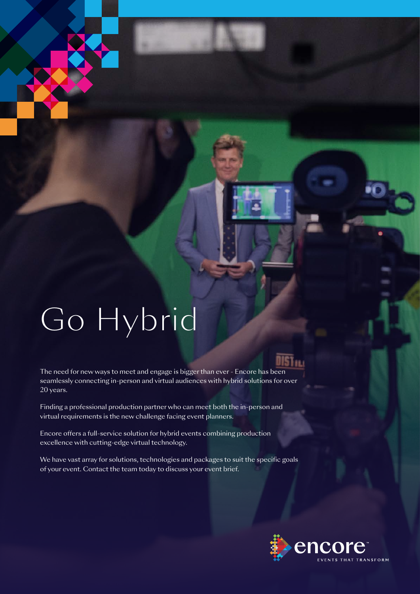# Go Hybrid

The need for new ways to meet and engage is bigger than ever - Encore has been seamlessly connecting in-person and virtual audiences with hybrid solutions for over 20 years.

Finding a professional production partner who can meet both the in-person and virtual requirements is the new challenge facing event planners.

Encore offers a full-service solution for hybrid events combining production excellence with cutting-edge virtual technology.

We have vast array for solutions, technologies and packages to suit the specific goals of your event. Contact the team today to discuss your event brief.

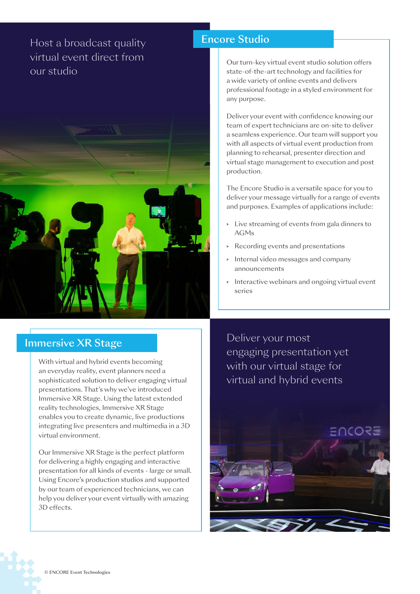## Host a broadcast quality virtual event direct from our studio



#### Encore Studio

Our turn-key virtual event studio solution offers state-of-the-art technology and facilities for a wide variety of online events and delivers professional footage in a styled environment for any purpose.

Deliver your event with confidence knowing our team of expert technicians are on-site to deliver a seamless experience. Our team will support you with all aspects of virtual event production from planning to rehearsal, presenter direction and virtual stage management to execution and post production.

The Encore Studio is a versatile space for you to deliver your message virtually for a range of events and purposes. Examples of applications include:

- > Live streaming of events from gala dinners to AGMs
- > Recording events and presentations
- > Internal video messages and company announcements
- > Interactive webinars and ongoing virtual event series

#### Immersive XR Stage

With virtual and hybrid events becoming an everyday reality, event planners need a sophisticated solution to deliver engaging virtual presentations. That's why we've introduced Immersive XR Stage. Using the latest extended reality technologies, Immersive XR Stage enables you to create dynamic, live productions integrating live presenters and multimedia in a 3D virtual environment.

Our Immersive XR Stage is the perfect platform for delivering a highly engaging and interactive presentation for all kinds of events - large or small. Using Encore's production studios and supported by our team of experienced technicians, we can help you deliver your event virtually with amazing 3D effects.

Deliver your most engaging presentation yet with our virtual stage for virtual and hybrid events